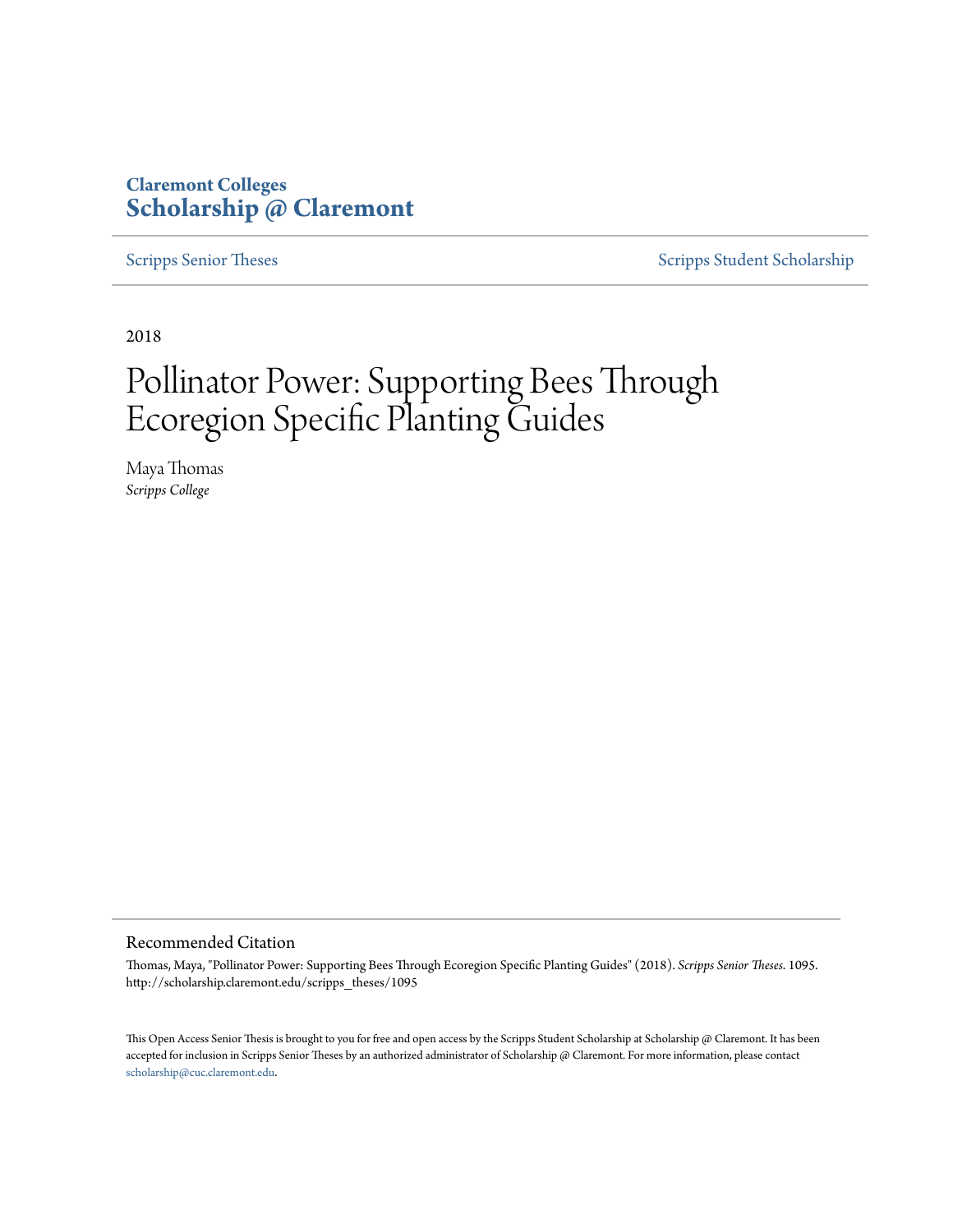### **Claremont Colleges [Scholarship @ Claremont](http://scholarship.claremont.edu)**

[Scripps Senior Theses](http://scholarship.claremont.edu/scripps_theses) [Scripps Student Scholarship](http://scholarship.claremont.edu/scripps_student)

2018

# Pollinator Power: Supporting Bees Through Ecoregion Specific Planting Guides

Maya Thomas *Scripps College*

#### Recommended Citation

Thomas, Maya, "Pollinator Power: Supporting Bees Through Ecoregion Specific Planting Guides" (2018). *Scripps Senior Theses*. 1095. http://scholarship.claremont.edu/scripps\_theses/1095

This Open Access Senior Thesis is brought to you for free and open access by the Scripps Student Scholarship at Scholarship @ Claremont. It has been accepted for inclusion in Scripps Senior Theses by an authorized administrator of Scholarship @ Claremont. For more information, please contact [scholarship@cuc.claremont.edu.](mailto:scholarship@cuc.claremont.edu)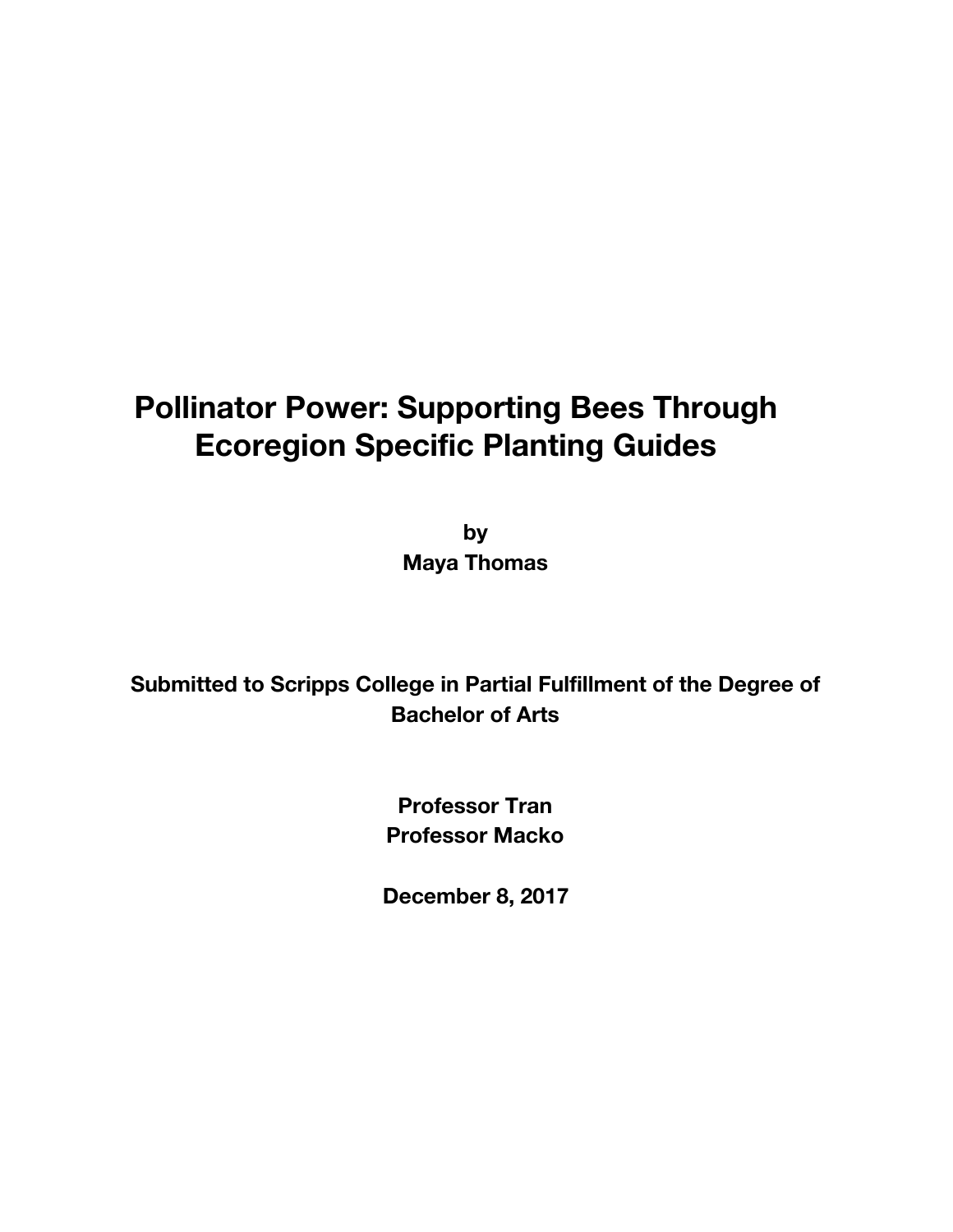## **Pollinator Power: Supporting Bees Through Ecoregion Specific Planting Guides**

**by Maya Thomas**

## **Submitted to Scripps College in Partial Fulfillment of the Degree of Bachelor of Arts**

**Professor Tran Professor Macko**

**December 8, 2017**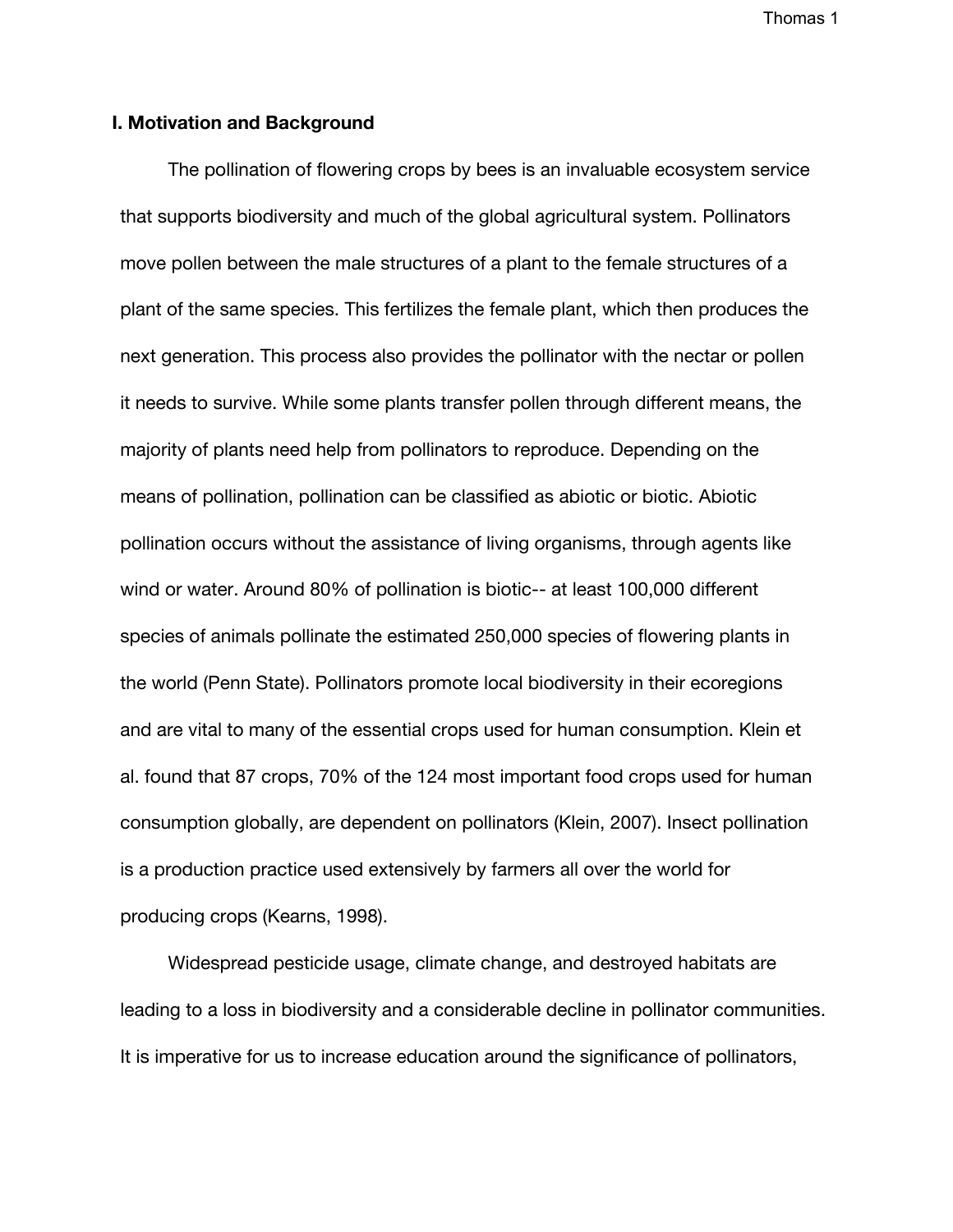### **I. Motivation and Background**

The pollination of flowering crops by bees is an invaluable ecosystem service that supports biodiversity and much of the global agricultural system. Pollinators move pollen between the male structures of a plant to the female structures of a plant of the same species. This fertilizes the female plant, which then produces the next generation. This process also provides the pollinator with the nectar or pollen it needs to survive. While some plants transfer pollen through different means, the majority of plants need help from pollinators to reproduce. Depending on the means of pollination, pollination can be classified as abiotic or biotic. Abiotic pollination occurs without the assistance of living organisms, through agents like wind or water. Around 80% of pollination is biotic-- at least 100,000 different species of animals pollinate the estimated 250,000 species of flowering plants in the world (Penn State). Pollinators promote local biodiversity in their ecoregions and are vital to many of the essential crops used for human consumption. Klein et al. found that 87 crops, 70% of the 124 most important food crops used for human consumption globally, are dependent on pollinators (Klein, 2007). Insect pollination is a production practice used extensively by farmers all over the world for producing crops (Kearns, 1998).

Widespread pesticide usage, climate change, and destroyed habitats are leading to a loss in biodiversity and a considerable decline in pollinator communities. It is imperative for us to increase education around the significance of pollinators,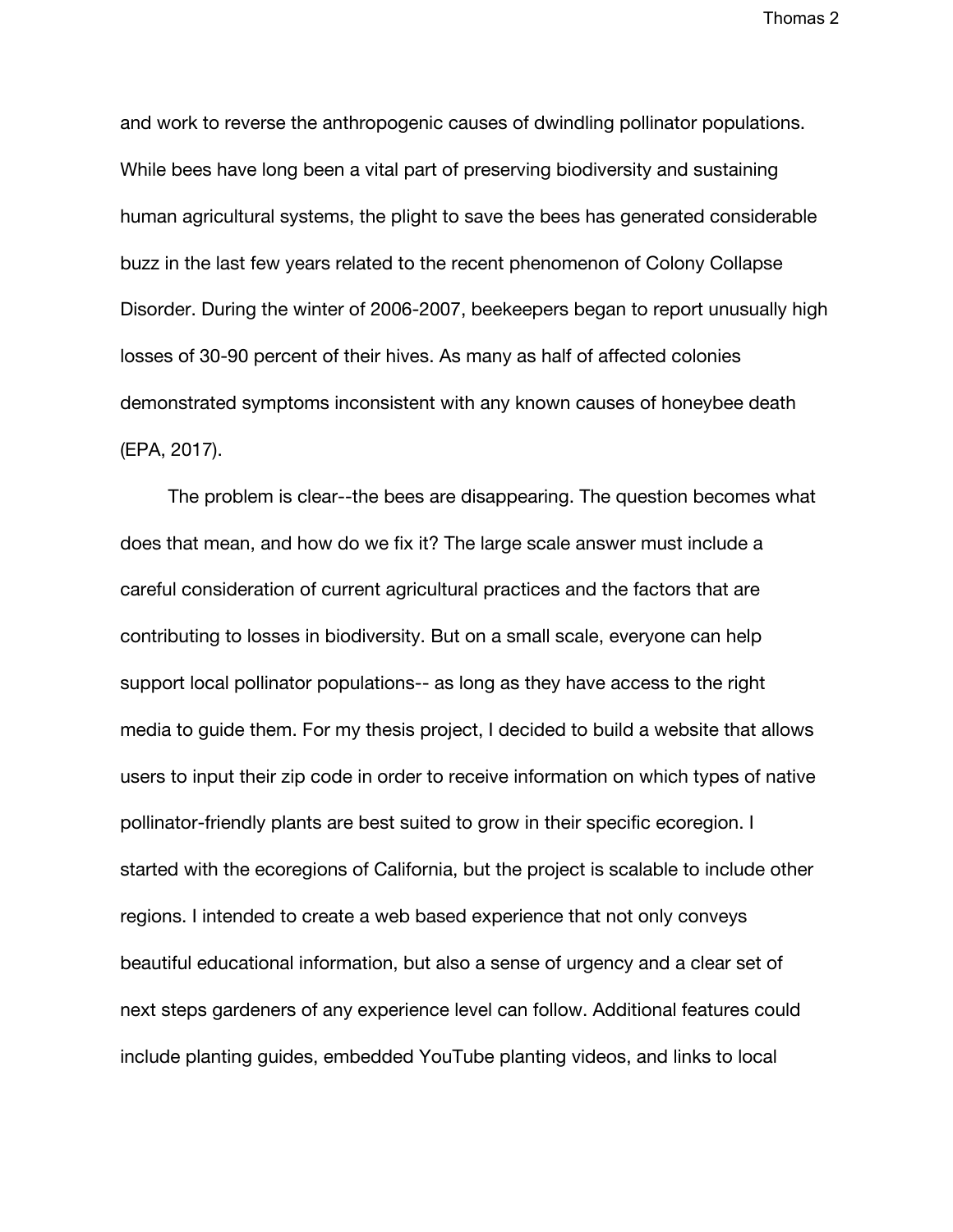and work to reverse the anthropogenic causes of dwindling pollinator populations. While bees have long been a vital part of preserving biodiversity and sustaining human agricultural systems, the plight to save the bees has generated considerable buzz in the last few years related to the recent phenomenon of Colony Collapse Disorder. During the winter of 2006-2007, beekeepers began to report unusually high losses of 30-90 percent of their hives. As many as half of affected colonies demonstrated symptoms inconsistent with any known causes of honeybee death (EPA, 2017).

The problem is clear--the bees are disappearing. The question becomes what does that mean, and how do we fix it? The large scale answer must include a careful consideration of current agricultural practices and the factors that are contributing to losses in biodiversity. But on a small scale, everyone can help support local pollinator populations-- as long as they have access to the right media to guide them. For my thesis project, I decided to build a website that allows users to input their zip code in order to receive information on which types of native pollinator-friendly plants are best suited to grow in their specific ecoregion. I started with the ecoregions of California, but the project is scalable to include other regions. I intended to create a web based experience that not only conveys beautiful educational information, but also a sense of urgency and a clear set of next steps gardeners of any experience level can follow. Additional features could include planting guides, embedded YouTube planting videos, and links to local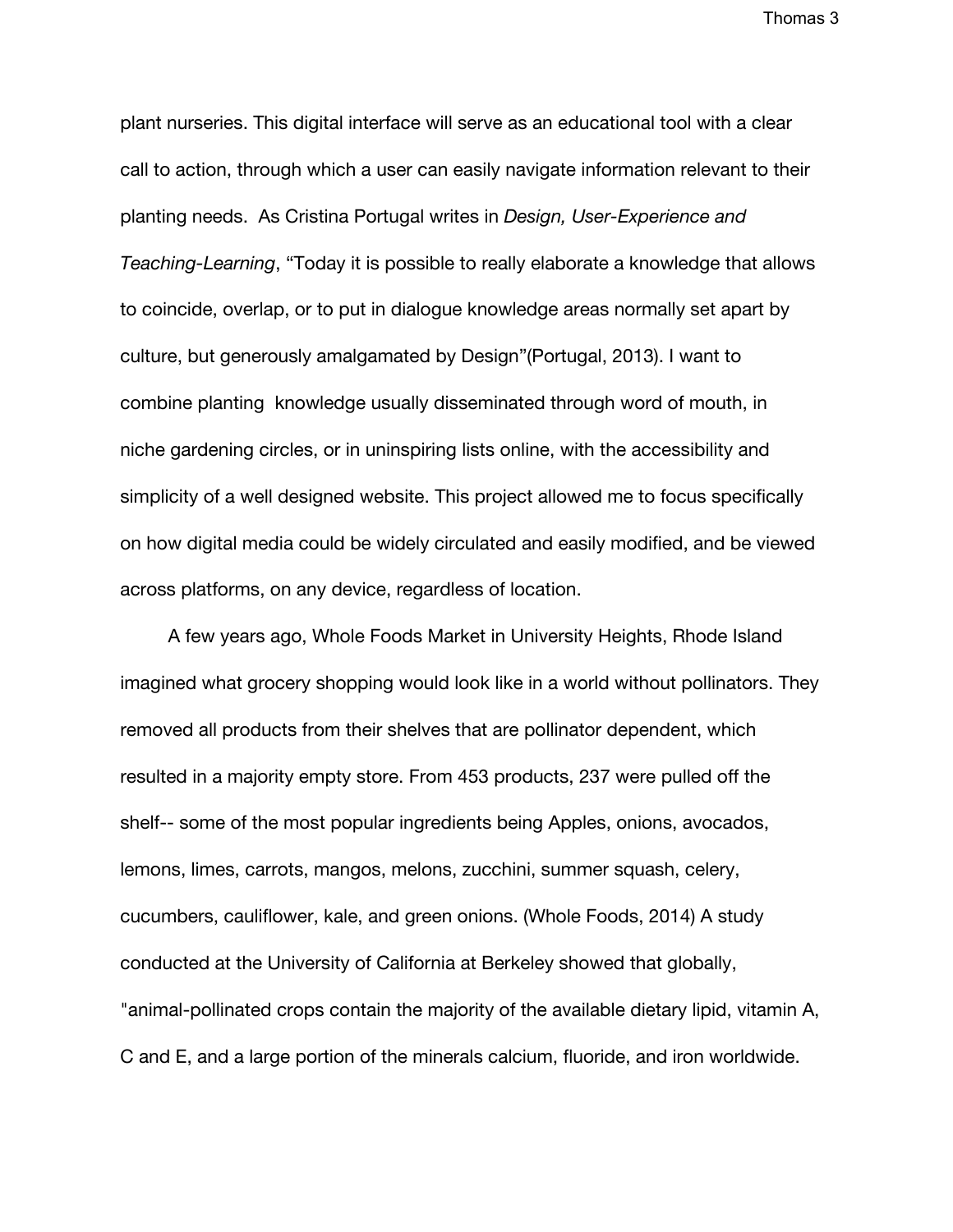plant nurseries. This digital interface will serve as an educational tool with a clear call to action, through which a user can easily navigate information relevant to their planting needs. As Cristina Portugal writes in *Design, User-Experience and Teaching-Learning*, "Today it is possible to really elaborate a knowledge that allows to coincide, overlap, or to put in dialogue knowledge areas normally set apart by culture, but generously amalgamated by Design"(Portugal, 2013). I want to combine planting knowledge usually disseminated through word of mouth, in niche gardening circles, or in uninspiring lists online, with the accessibility and simplicity of a well designed website. This project allowed me to focus specifically on how digital media could be widely circulated and easily modified, and be viewed across platforms, on any device, regardless of location.

A few years ago, Whole Foods Market in University Heights, Rhode Island imagined what grocery shopping would look like in a world without pollinators. They removed all products from their shelves that are pollinator dependent, which resulted in a majority empty store. From 453 products, 237 were pulled off the shelf-- some of the most popular ingredients being Apples, onions, avocados, lemons, limes, carrots, mangos, melons, zucchini, summer squash, celery, cucumbers, cauliflower, kale, and green onions. (Whole Foods, 2014) A study conducted at the University of California at Berkeley showed that globally, "animal-pollinated crops contain the majority of the available dietary lipid, vitamin A, C and E, and a large portion of the minerals calcium, fluoride, and iron worldwide.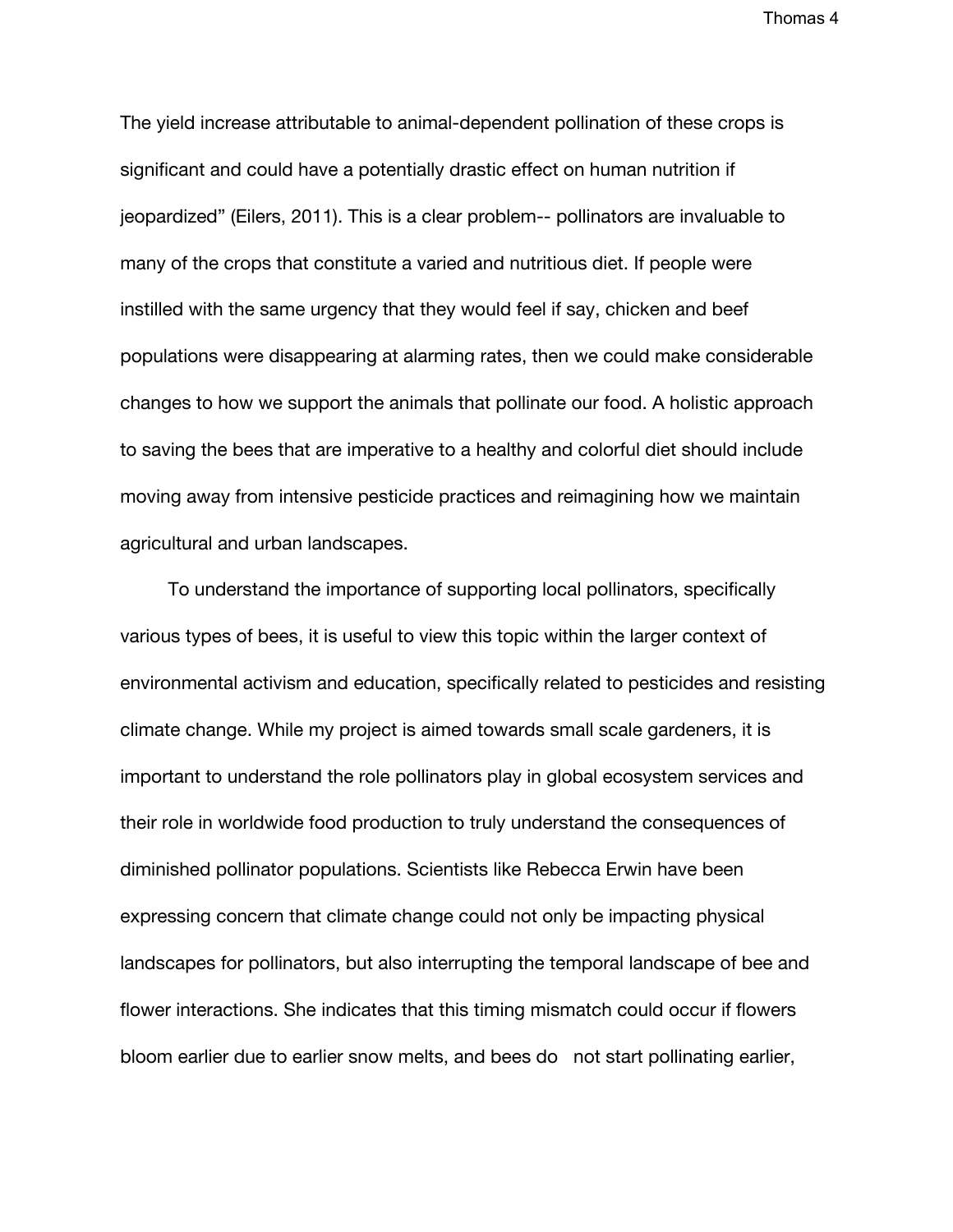The yield increase attributable to animal-dependent pollination of these crops is significant and could have a potentially drastic effect on human nutrition if jeopardized" (Eilers, 2011). This is a clear problem-- pollinators are invaluable to many of the crops that constitute a varied and nutritious diet. If people were instilled with the same urgency that they would feel if say, chicken and beef populations were disappearing at alarming rates, then we could make considerable changes to how we support the animals that pollinate our food. A holistic approach to saving the bees that are imperative to a healthy and colorful diet should include moving away from intensive pesticide practices and reimagining how we maintain agricultural and urban landscapes.

To understand the importance of supporting local pollinators, specifically various types of bees, it is useful to view this topic within the larger context of environmental activism and education, specifically related to pesticides and resisting climate change. While my project is aimed towards small scale gardeners, it is important to understand the role pollinators play in global ecosystem services and their role in worldwide food production to truly understand the consequences of diminished pollinator populations. Scientists like Rebecca Erwin have been expressing concern that climate change could not only be impacting physical landscapes for pollinators, but also interrupting the temporal landscape of bee and flower interactions. She indicates that this timing mismatch could occur if flowers bloom earlier due to earlier snow melts, and bees do not start pollinating earlier,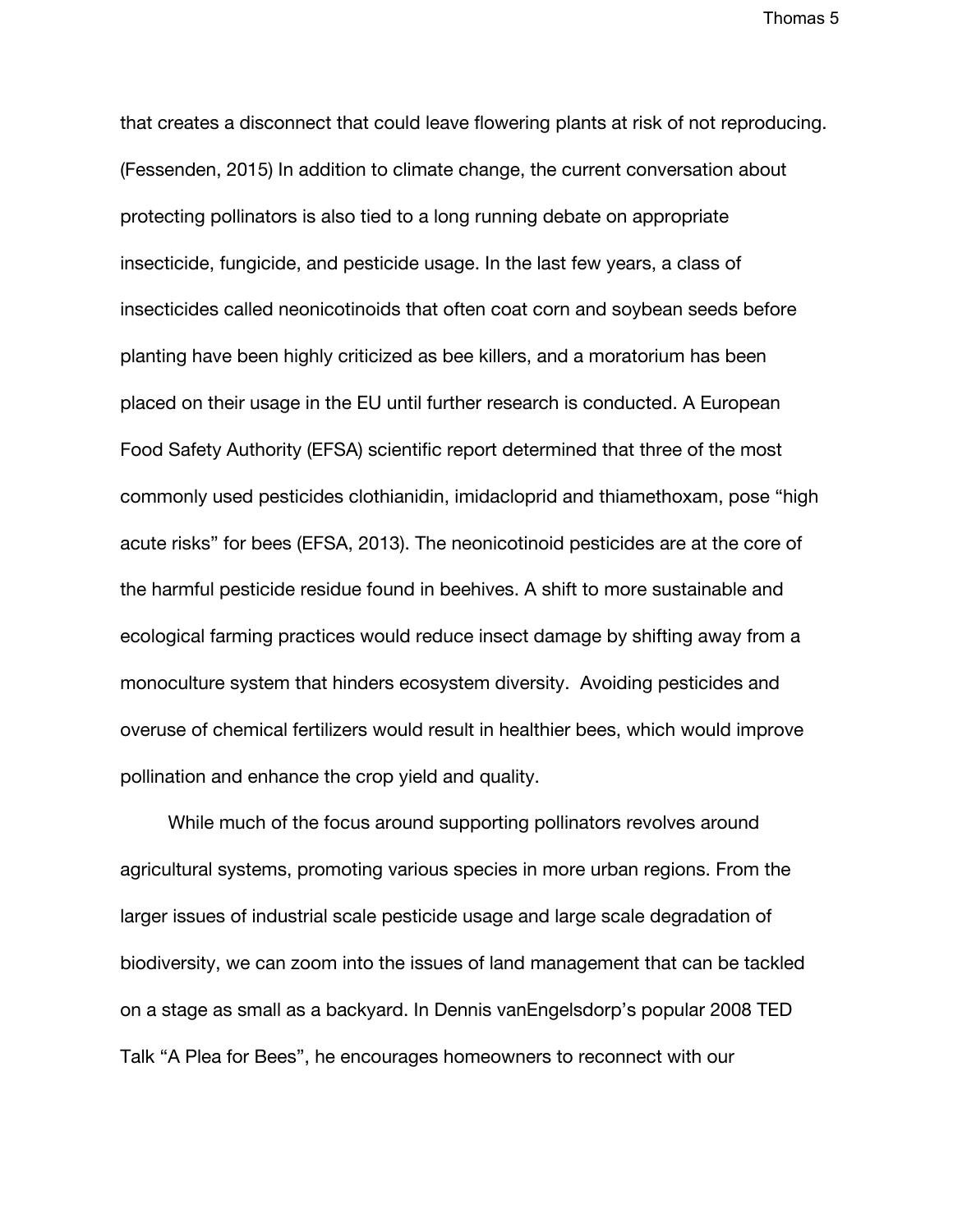that creates a disconnect that could leave flowering plants at risk of not reproducing. (Fessenden, 2015) In addition to climate change, the current conversation about protecting pollinators is also tied to a long running debate on appropriate insecticide, fungicide, and pesticide usage. In the last few years, a class of insecticides called neonicotinoids that often coat corn and soybean seeds before planting have been highly criticized as bee killers, and a moratorium has been placed on their usage in the EU until further research is conducted. A European Food Safety Authority (EFSA) scientific report determined that three of the most commonly used pesticides clothianidin, imidacloprid and thiamethoxam, pose "high acute risks" for bees (EFSA, 2013). The neonicotinoid pesticides are at the core of the harmful pesticide residue found in beehives. A shift to more sustainable and ecological farming practices would reduce insect damage by shifting away from a monoculture system that hinders ecosystem diversity. Avoiding pesticides and overuse of chemical fertilizers would result in healthier bees, which would improve pollination and enhance the crop yield and quality.

While much of the focus around supporting pollinators revolves around agricultural systems, promoting various species in more urban regions. From the larger issues of industrial scale pesticide usage and large scale degradation of biodiversity, we can zoom into the issues of land management that can be tackled on a stage as small as a backyard. In Dennis vanEngelsdorp's popular 2008 TED Talk "A Plea for Bees", he encourages homeowners to reconnect with our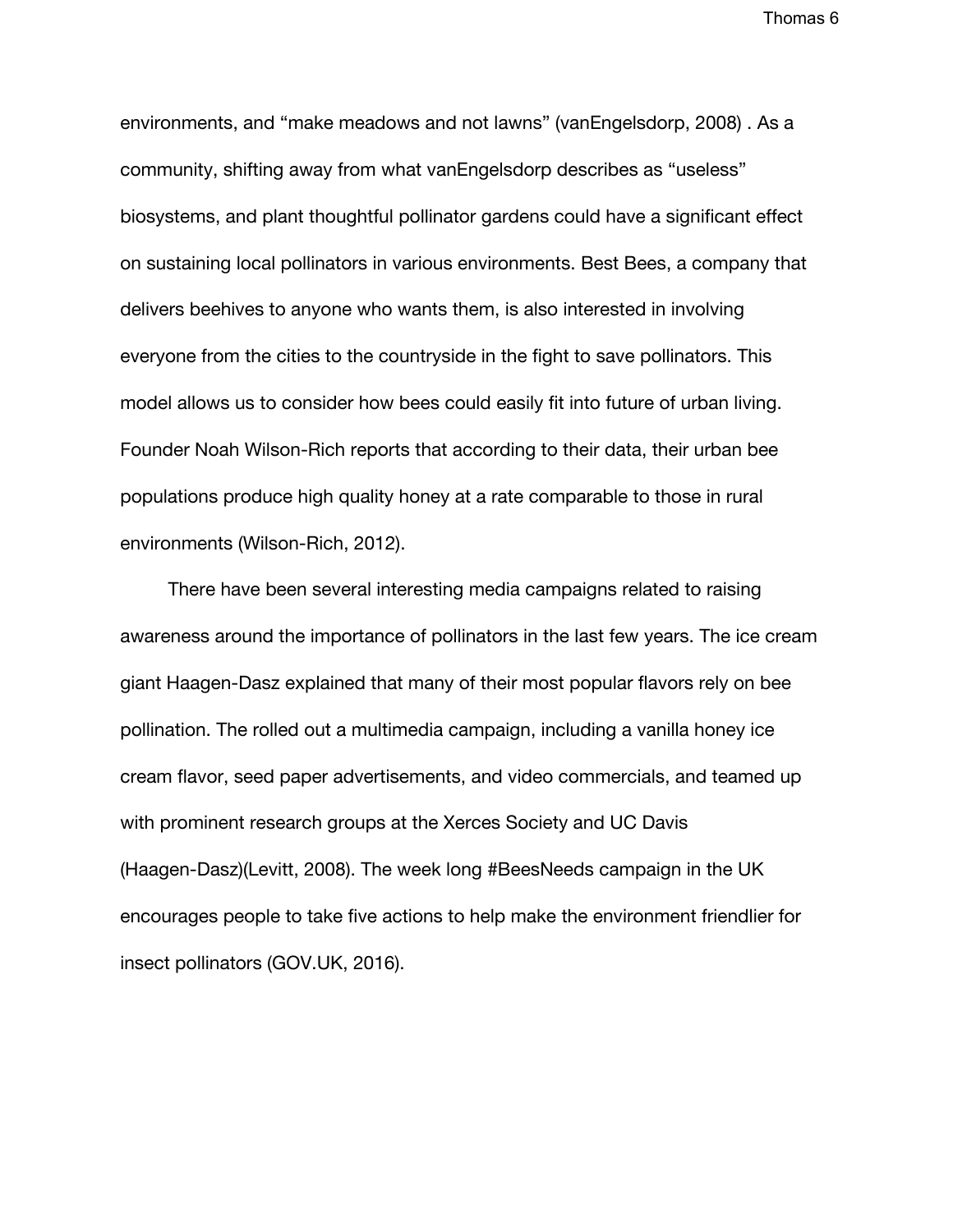environments, and "make meadows and not lawns" (vanEngelsdorp, 2008) . As a community, shifting away from what vanEngelsdorp describes as "useless" biosystems, and plant thoughtful pollinator gardens could have a significant effect on sustaining local pollinators in various environments. Best Bees, a company that delivers beehives to anyone who wants them, is also interested in involving everyone from the cities to the countryside in the fight to save pollinators. This model allows us to consider how bees could easily fit into future of urban living. Founder Noah Wilson-Rich reports that according to their data, their urban bee populations produce high quality honey at a rate comparable to those in rural environments (Wilson-Rich, 2012).

There have been several interesting media campaigns related to raising awareness around the importance of pollinators in the last few years. The ice cream giant Haagen-Dasz explained that many of their most popular flavors rely on bee pollination. The rolled out a multimedia campaign, including a vanilla honey ice cream flavor, seed paper advertisements, and video commercials, and teamed up with prominent research groups at the Xerces Society and UC Davis (Haagen-Dasz)(Levitt, 2008). The week long #BeesNeeds campaign in the UK encourages people to take five actions to help make the environment friendlier for insect pollinators (GOV.UK, 2016).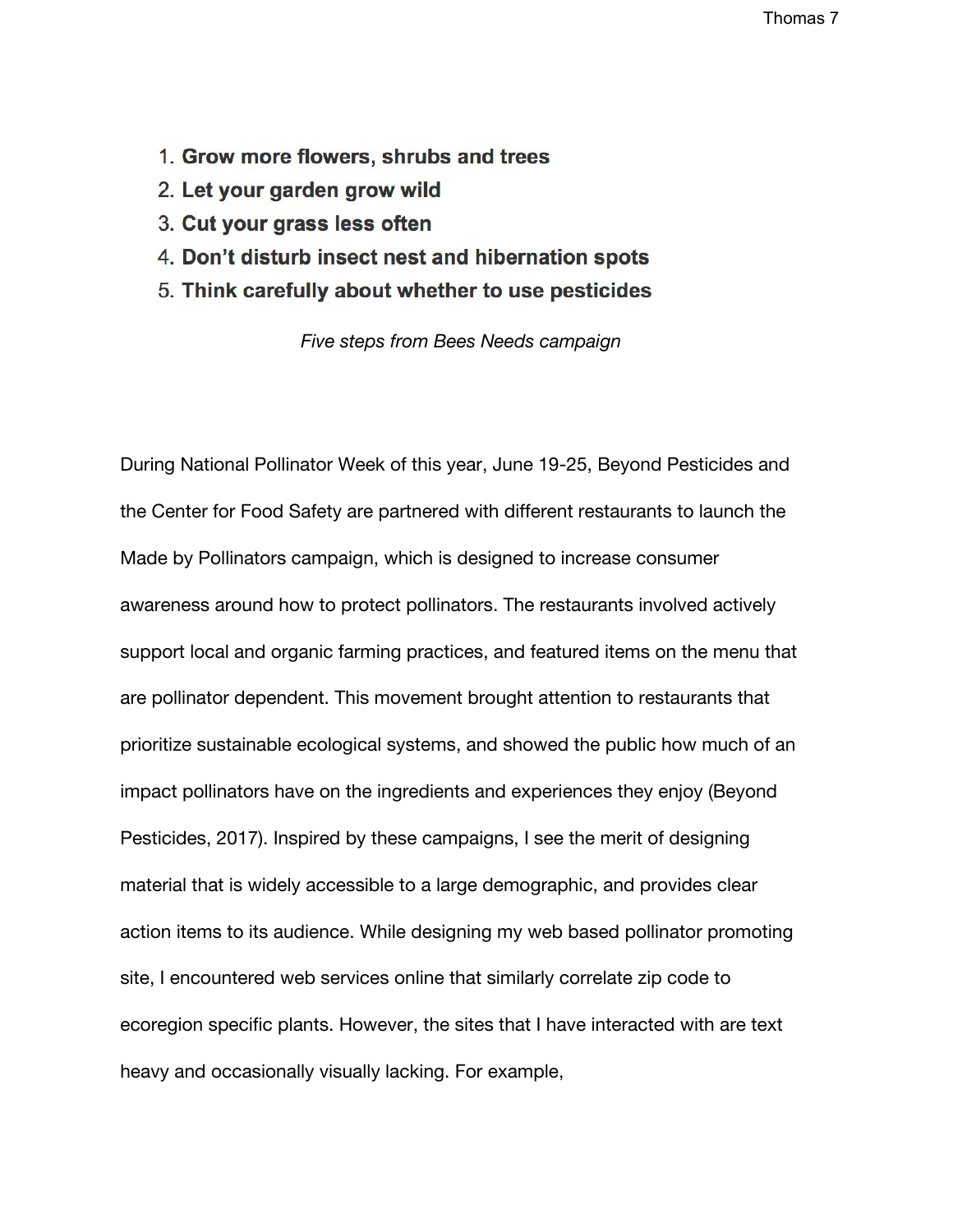- 1. Grow more flowers, shrubs and trees
- 2. Let your garden grow wild
- 3. Cut your grass less often
- 4. Don't disturb insect nest and hibernation spots
- 5. Think carefully about whether to use pesticides

*Five steps from Bees Needs campaign*

During National Pollinator Week of this year, June 19-25, Beyond Pesticides and the Center for Food Safety are partnered with different restaurants to launch the Made by Pollinators campaign, which is designed to increase consumer awareness around how to protect pollinators. The restaurants involved actively support local and organic farming practices, and featured items on the menu that are pollinator dependent. This movement brought attention to restaurants that prioritize sustainable ecological systems, and showed the public how much of an impact pollinators have on the ingredients and experiences they enjoy (Beyond Pesticides, 2017). Inspired by these campaigns, I see the merit of designing material that is widely accessible to a large demographic, and provides clear action items to its audience. While designing my web based pollinator promoting site, I encountered web services online that similarly correlate zip code to ecoregion specific plants. However, the sites that I have interacted with are text heavy and occasionally visually lacking. For example,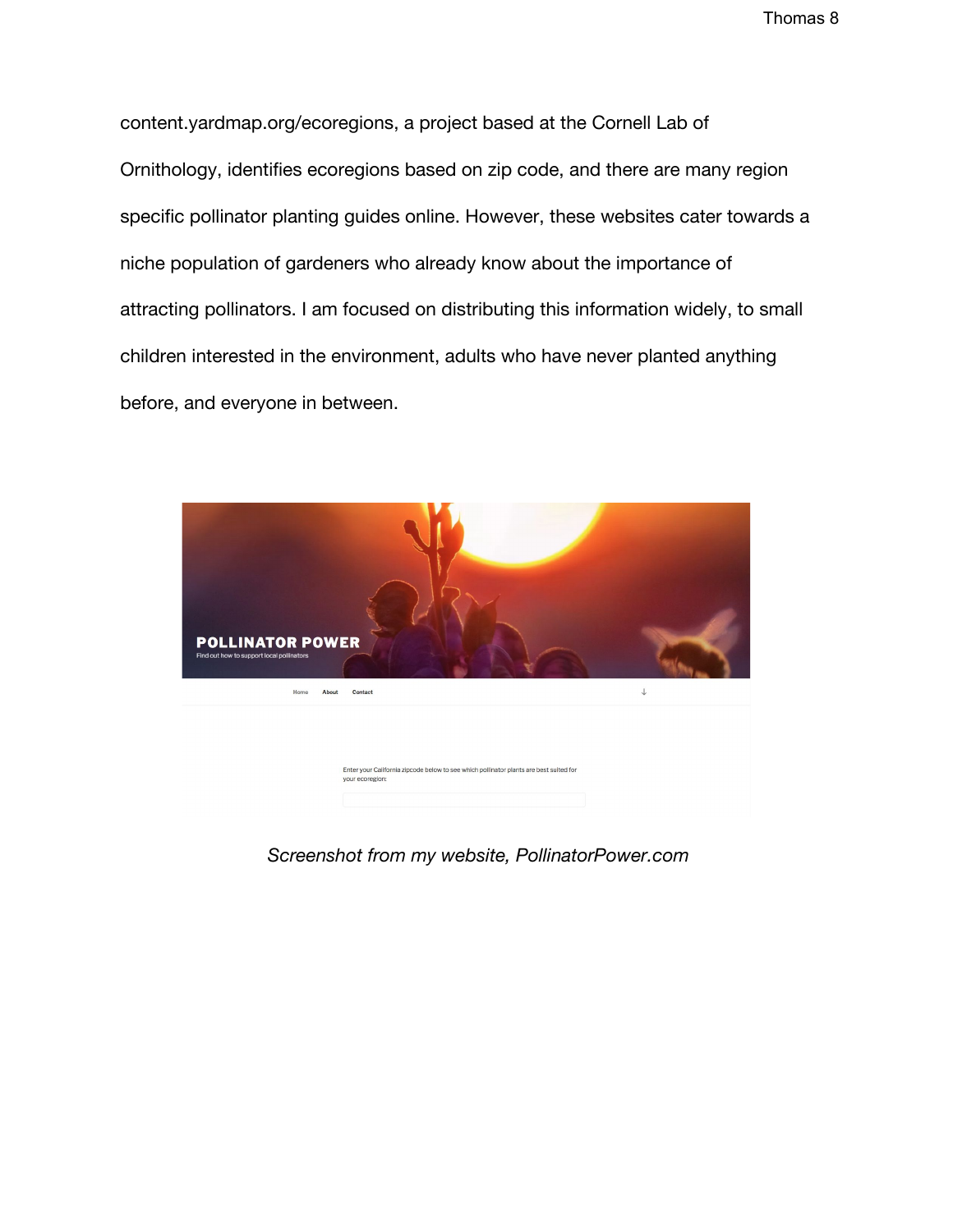content.yardmap.org/ecoregions, a project based at the Cornell Lab of Ornithology, identifies ecoregions based on zip code, and there are many region specific pollinator planting guides online. However, these websites cater towards a niche population of gardeners who already know about the importance of attracting pollinators. I am focused on distributing this information widely, to small children interested in the environment, adults who have never planted anything before, and everyone in between.



 *Screenshot from my website, PollinatorPower.com*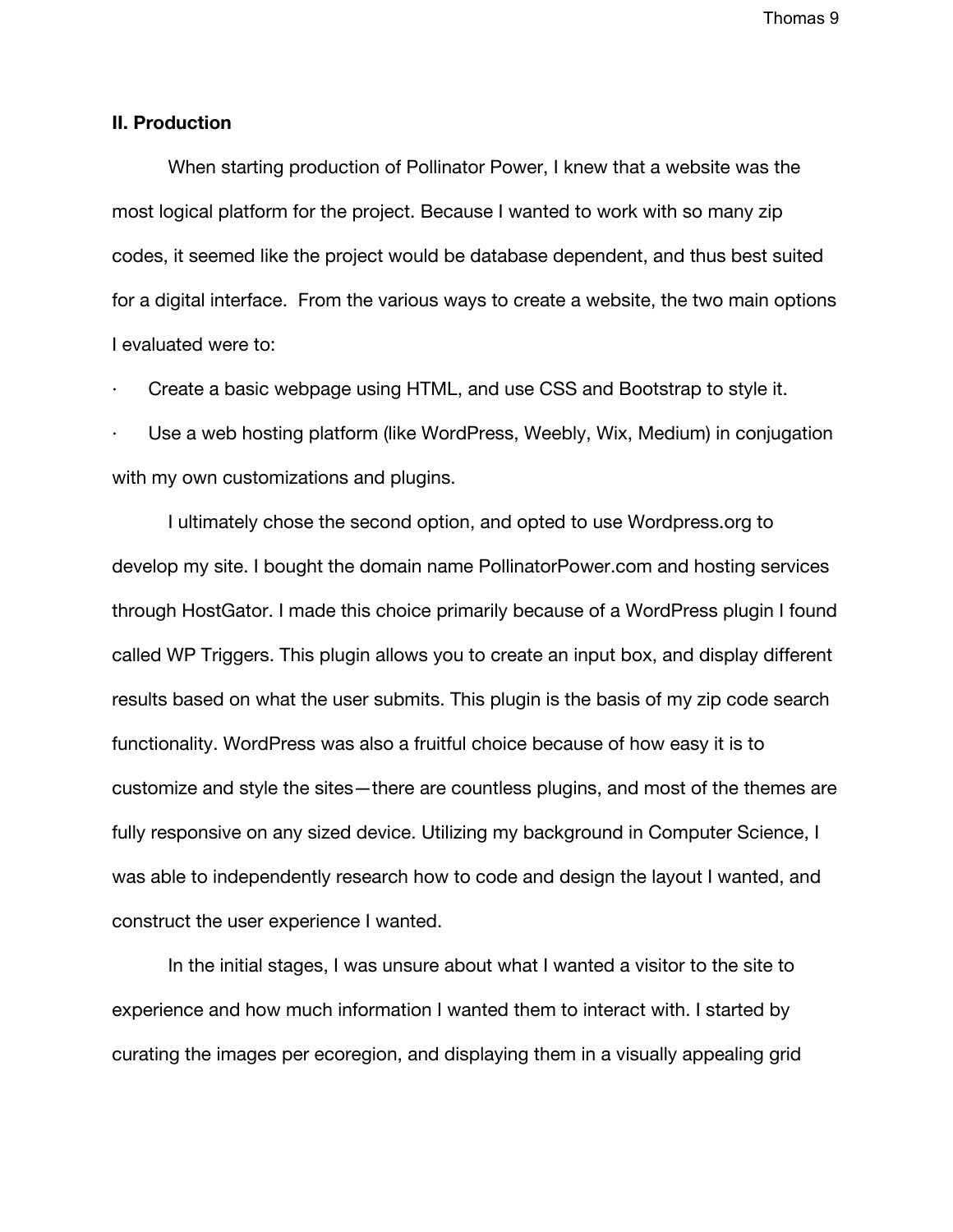### **II. Production**

When starting production of Pollinator Power, I knew that a website was the most logical platform for the project. Because I wanted to work with so many zip codes, it seemed like the project would be database dependent, and thus best suited for a digital interface. From the various ways to create a website, the two main options I evaluated were to:

Create a basic webpage using HTML, and use CSS and Bootstrap to style it.

Use a web hosting platform (like WordPress, Weebly, Wix, Medium) in conjugation with my own customizations and plugins.

I ultimately chose the second option, and opted to use Wordpress.org to develop my site. I bought the domain name PollinatorPower.com and hosting services through HostGator. I made this choice primarily because of a WordPress plugin I found called WP Triggers. This plugin allows you to create an input box, and display different results based on what the user submits. This plugin is the basis of my zip code search functionality. WordPress was also a fruitful choice because of how easy it is to customize and style the sites—there are countless plugins, and most of the themes are fully responsive on any sized device. Utilizing my background in Computer Science, I was able to independently research how to code and design the layout I wanted, and construct the user experience I wanted.

In the initial stages, I was unsure about what I wanted a visitor to the site to experience and how much information I wanted them to interact with. I started by curating the images per ecoregion, and displaying them in a visually appealing grid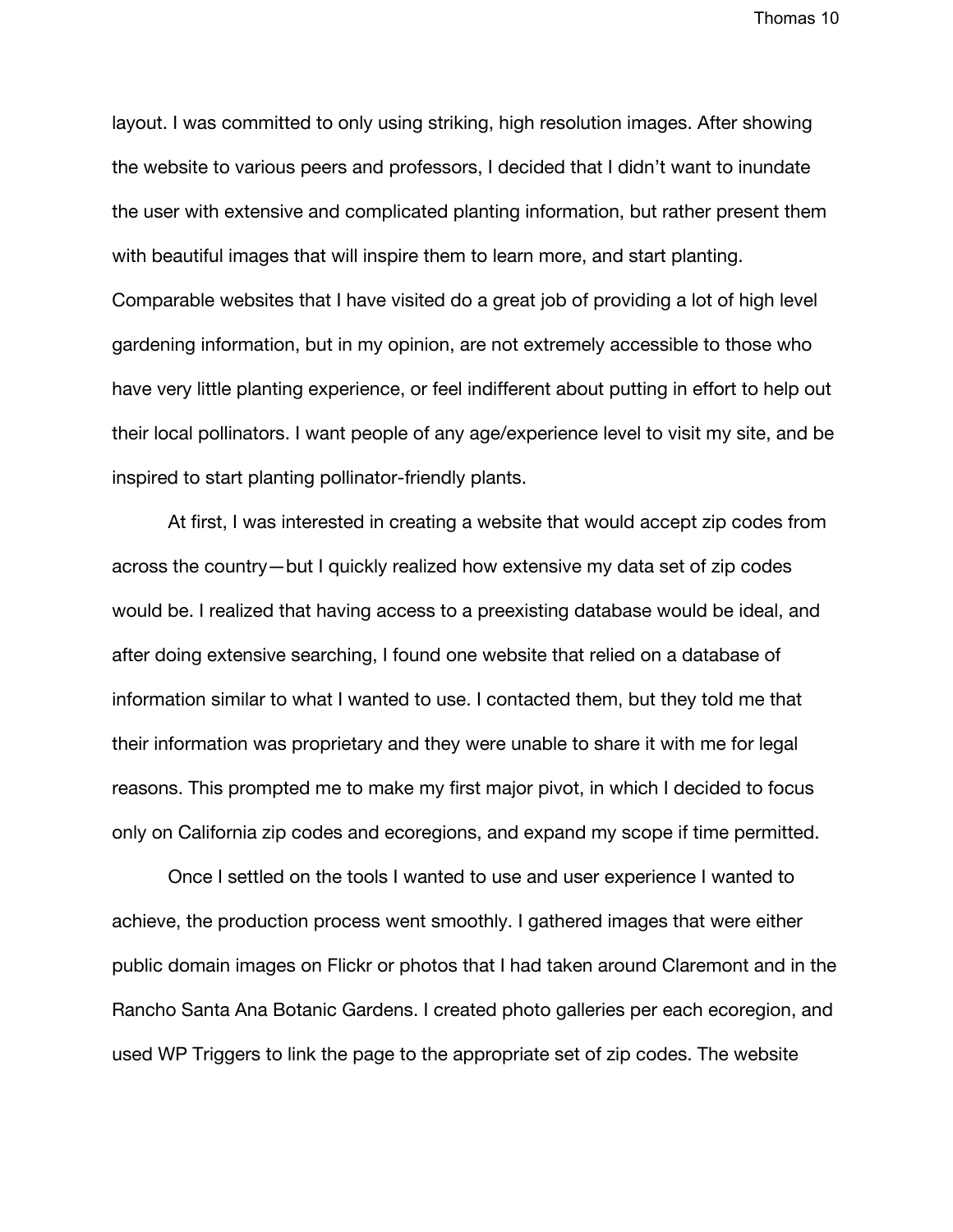layout. I was committed to only using striking, high resolution images. After showing the website to various peers and professors, I decided that I didn't want to inundate the user with extensive and complicated planting information, but rather present them with beautiful images that will inspire them to learn more, and start planting. Comparable websites that I have visited do a great job of providing a lot of high level gardening information, but in my opinion, are not extremely accessible to those who have very little planting experience, or feel indifferent about putting in effort to help out their local pollinators. I want people of any age/experience level to visit my site, and be inspired to start planting pollinator-friendly plants.

At first, I was interested in creating a website that would accept zip codes from across the country—but I quickly realized how extensive my data set of zip codes would be. I realized that having access to a preexisting database would be ideal, and after doing extensive searching, I found one website that relied on a database of information similar to what I wanted to use. I contacted them, but they told me that their information was proprietary and they were unable to share it with me for legal reasons. This prompted me to make my first major pivot, in which I decided to focus only on California zip codes and ecoregions, and expand my scope if time permitted.

Once I settled on the tools I wanted to use and user experience I wanted to achieve, the production process went smoothly. I gathered images that were either public domain images on Flickr or photos that I had taken around Claremont and in the Rancho Santa Ana Botanic Gardens. I created photo galleries per each ecoregion, and used WP Triggers to link the page to the appropriate set of zip codes. The website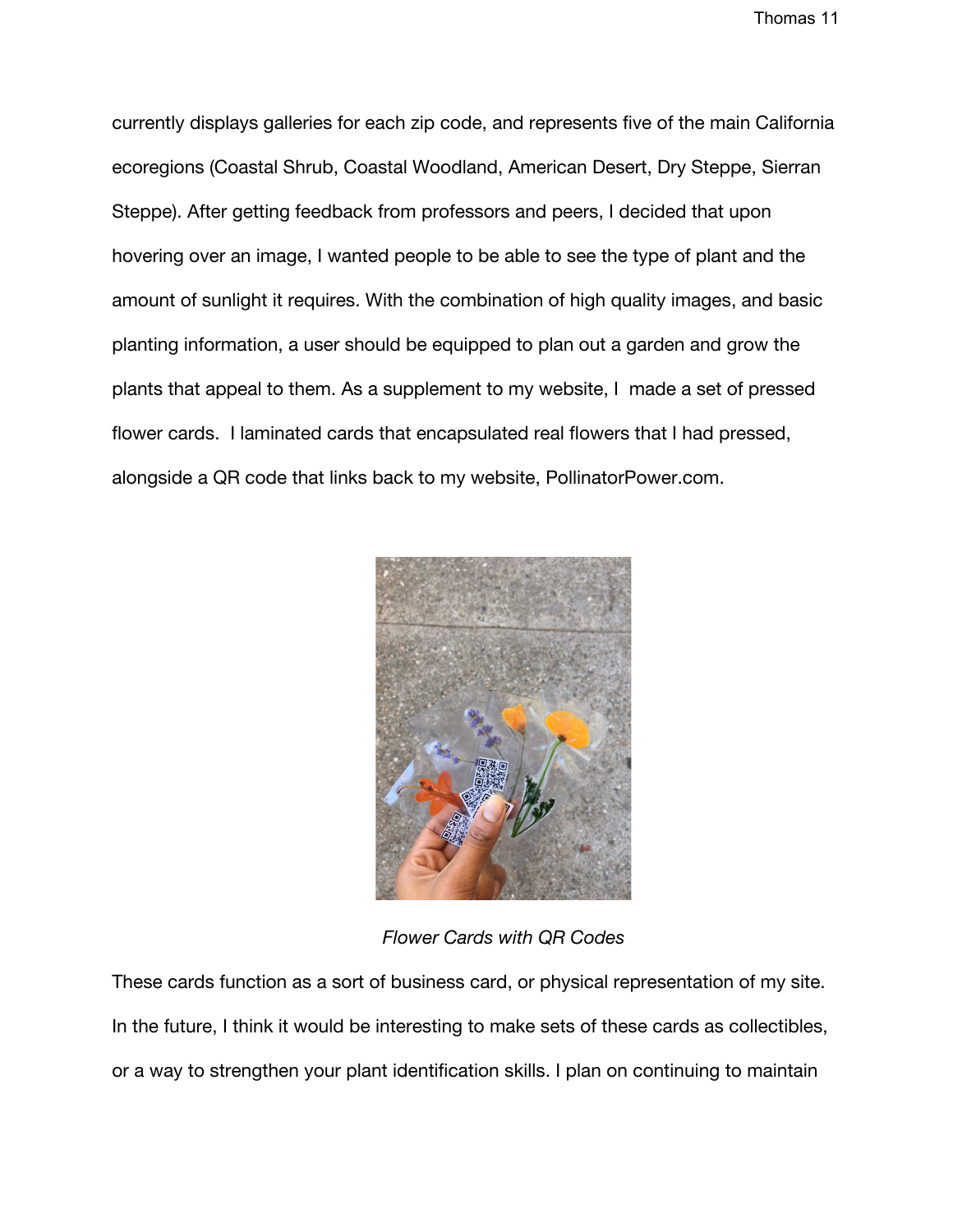currently displays galleries for each zip code, and represents five of the main California ecoregions (Coastal Shrub, Coastal Woodland, American Desert, Dry Steppe, Sierran Steppe). After getting feedback from professors and peers, I decided that upon hovering over an image, I wanted people to be able to see the type of plant and the amount of sunlight it requires. With the combination of high quality images, and basic planting information, a user should be equipped to plan out a garden and grow the plants that appeal to them. As a supplement to my website, I made a set of pressed flower cards. I laminated cards that encapsulated real flowers that I had pressed, alongside a QR code that links back to my website, PollinatorPower.com.



*Flower Cards with QR Codes*

These cards function as a sort of business card, or physical representation of my site. In the future, I think it would be interesting to make sets of these cards as collectibles, or a way to strengthen your plant identification skills. I plan on continuing to maintain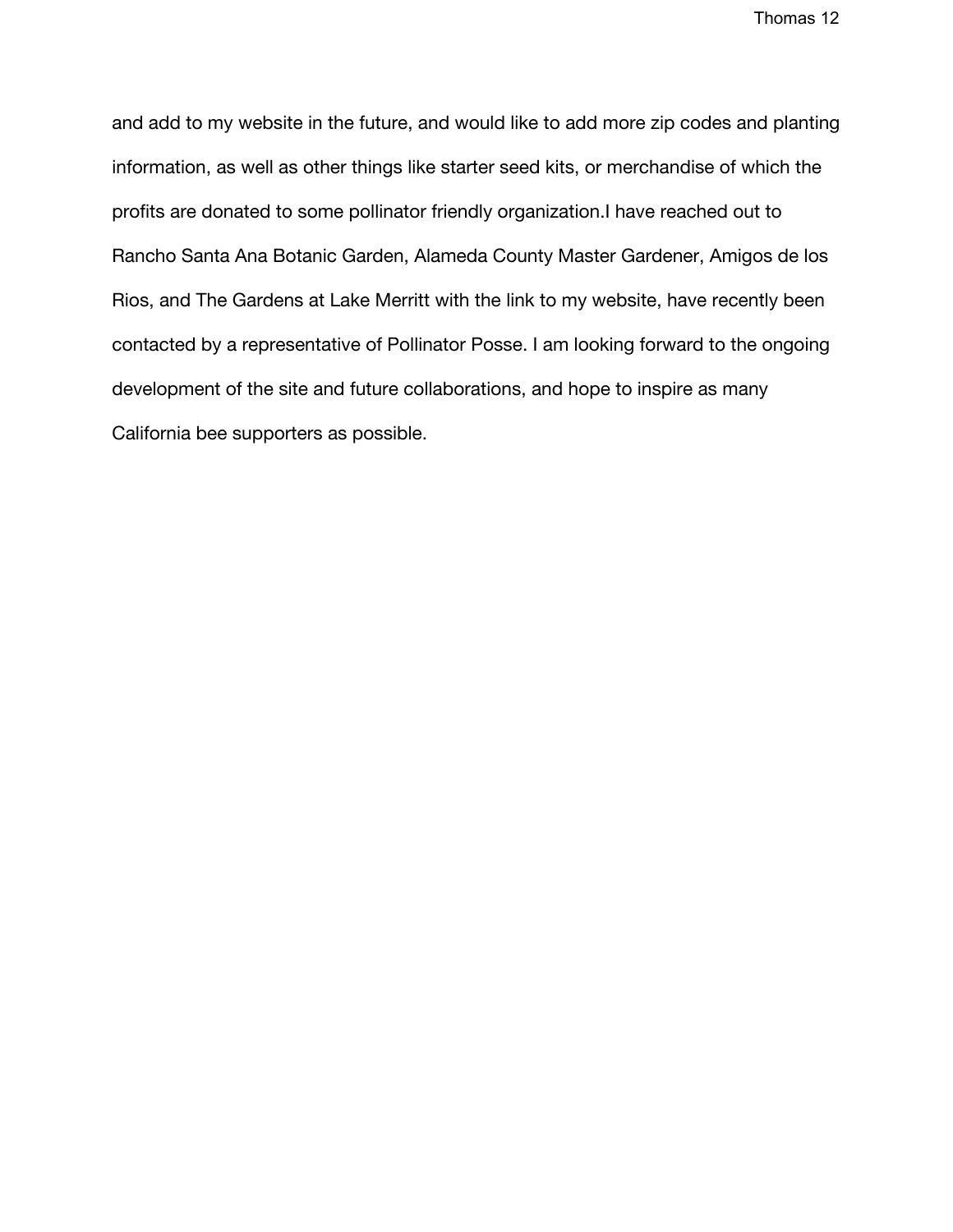and add to my website in the future, and would like to add more zip codes and planting information, as well as other things like starter seed kits, or merchandise of which the profits are donated to some pollinator friendly organization.I have reached out to Rancho Santa Ana Botanic Garden, Alameda County Master Gardener, Amigos de los Rios, and The Gardens at Lake Merritt with the link to my website, have recently been contacted by a representative of Pollinator Posse. I am looking forward to the ongoing development of the site and future collaborations, and hope to inspire as many California bee supporters as possible.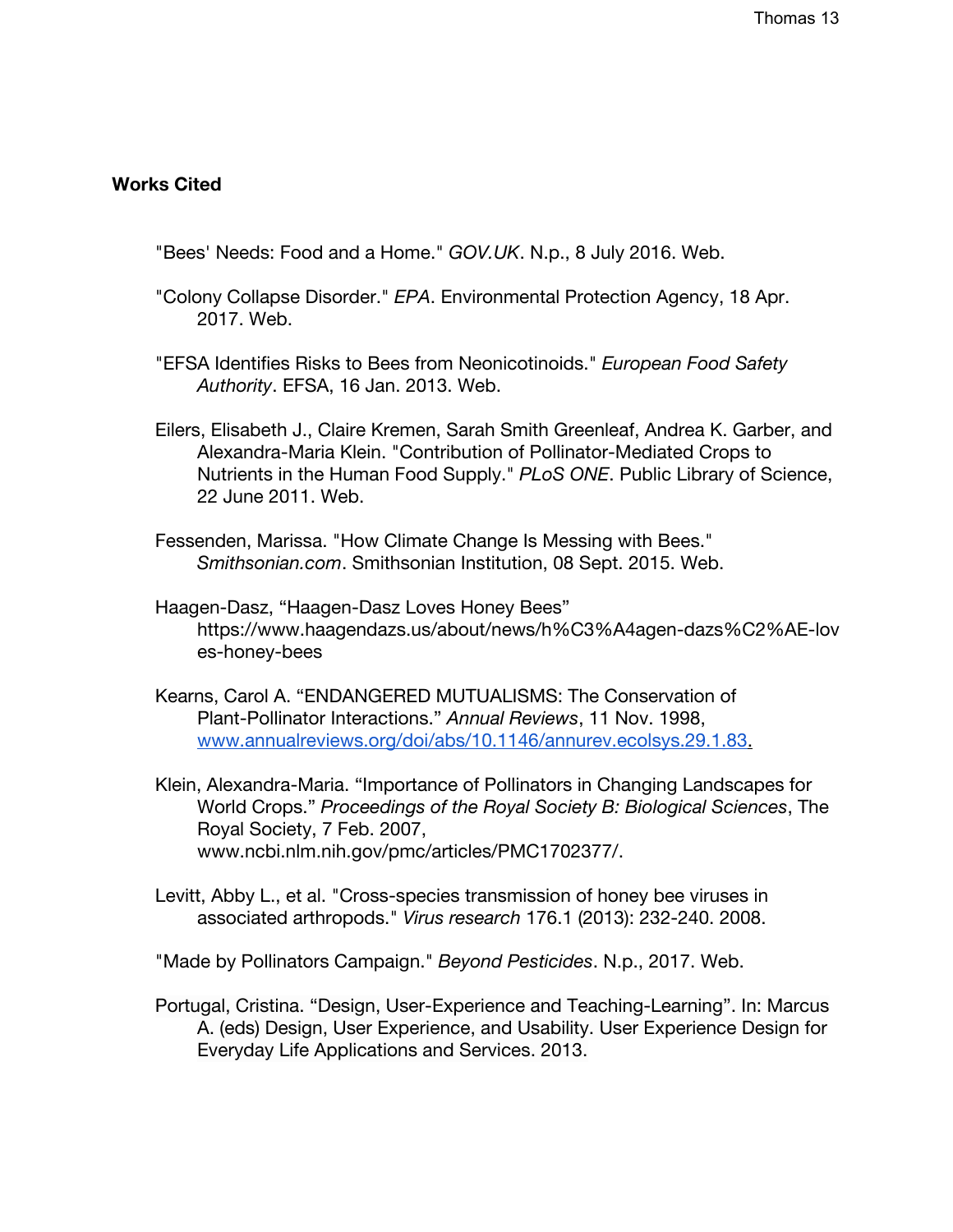### **Works Cited**

- "Bees' Needs: Food and a Home." *GOV.UK*. N.p., 8 July 2016. Web.
- "Colony Collapse Disorder." *EPA*. Environmental Protection Agency, 18 Apr. 2017. Web.
- "EFSA Identifies Risks to Bees from Neonicotinoids." *European Food Safety Authority*. EFSA, 16 Jan. 2013. Web.
- Eilers, Elisabeth J., Claire Kremen, Sarah Smith Greenleaf, Andrea K. Garber, and Alexandra-Maria Klein. "Contribution of Pollinator-Mediated Crops to Nutrients in the Human Food Supply." *PLoS ONE*. Public Library of Science, 22 June 2011. Web.
- Fessenden, Marissa. "How Climate Change Is Messing with Bees." *Smithsonian.com*. Smithsonian Institution, 08 Sept. 2015. Web.
- Haagen-Dasz, "Haagen-Dasz Loves Honey Bees" https://www.haagendazs.us/about/news/h%C3%A4agen-dazs%C2%AE-lov es-honey-bees
- Kearns, Carol A. "ENDANGERED MUTUALISMS: The Conservation of Plant-Pollinator Interactions." *Annual Reviews*, 11 Nov. 1998, [www.annualreviews.org/doi/abs/10.1146/annurev.ecolsys.29.1.83](http://www.annualreviews.org/doi/abs/10.1146/annurev.ecolsys.29.1.83).
- Klein, Alexandra-Maria. "Importance of Pollinators in Changing Landscapes for World Crops." *Proceedings of the Royal Society B: Biological Sciences*, The Royal Society, 7 Feb. 2007, www.ncbi.nlm.nih.gov/pmc/articles/PMC1702377/.
- Levitt, Abby L., et al. "Cross-species transmission of honey bee viruses in associated arthropods." *Virus research* 176.1 (2013): 232-240. 2008.

"Made by Pollinators Campaign." *Beyond Pesticides*. N.p., 2017. Web.

Portugal, Cristina. "Design, User-Experience and Teaching-Learning". In: Marcus A. (eds) Design, User Experience, and Usability. User Experience Design for Everyday Life Applications and Services. 2013.